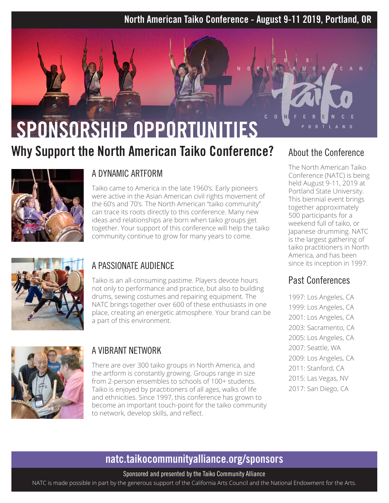#### North American Taiko Conference - August 9-11 2019, Portland, OR

# SPONSORSHIP OPPORTUNITIES

## Why Support the North American Taiko Conference?



#### A DYNAMIC ARTFORM

Taiko came to America in the late 1960's. Early pioneers were active in the Asian American civil rights movement of the 60's and 70's. The North American "taiko community" can trace its roots directly to this conference. Many new ideas and relationships are born when taiko groups get together. Your support of this conference will help the taiko community continue to grow for many years to come.



#### A PASSIONATE AUDIENCE

Taiko is an all-consuming pastime. Players devote hours not only to performance and practice, but also to building drums, sewing costumes and repairing equipment. The NATC brings together over 600 of these enthusiasts in one place, creating an energetic atmosphere. Your brand can be a part of this environment.



#### A VIBRANT NETWORK

There are over 300 taiko groups in North America, and the artform is constantly growing. Groups range in size from 2-person ensembles to schools of 100+ students. Taiko is enjoyed by practitioners of all ages, walks of life and ethnicities. Since 1997, this conference has grown to become an important touch-point for the taiko community to network, develop skills, and reflect.

#### About the Conference

 $N$ 

The North American Taiko Conference (NATC) is being held August 9-11, 2019 at Portland State University. This biennial event brings together approximately 500 participants for a weekend full of taiko, or Japanese drumming. NATC is the largest gathering of taiko practitioners in North America, and has been since its inception in 1997.

#### Past Conferences

1997: Los Angeles, CA 1999: Los Angeles, CA 2001: Los Angeles, CA 2003: Sacramento, CA 2005: Los Angeles, CA 2007: Seattle, WA 2009: Los Angeles, CA 2011: Stanford, CA 2015: Las Vegas, NV 2017: San Diego, CA

### natc.taikocommunityalliance.org/sponsors

Sponsored and presented by the Taiko Community Alliance

NATC is made possible in part by the generous support of the California Arts Council and the National Endowment for the Arts.